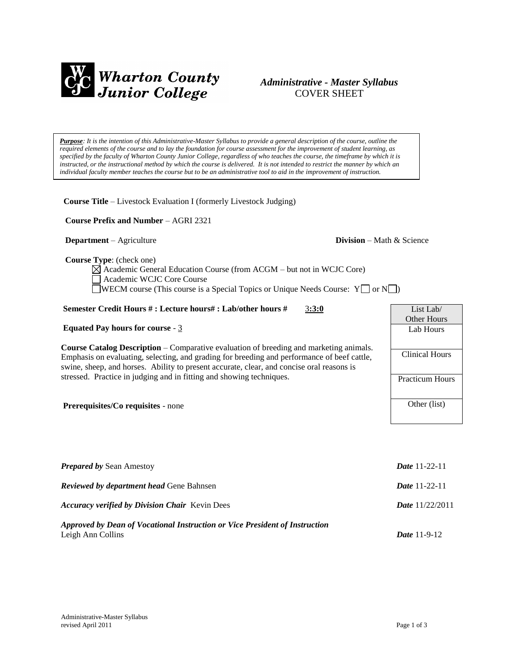

# *Administrative - Master Syllabus*  COVER SHEET

*Purpose: It is the intention of this Administrative-Master Syllabus to provide a general description of the course, outline the required elements of the course and to lay the foundation for course assessment for the improvement of student learning, as specified by the faculty of Wharton County Junior College, regardless of who teaches the course, the timeframe by which it is instructed, or the instructional method by which the course is delivered. It is not intended to restrict the manner by which an individual faculty member teaches the course but to be an administrative tool to aid in the improvement of instruction.* 

**Course Title** – Livestock Evaluation I (formerly Livestock Judging)

 **Course Prefix and Number** – AGRI 2321

## **Department** – Agriculture **Division** – Math & Science

List Lab/ Other Hours Lab Hours

Clinical Hours

Practicum Hours

Other (list)

 **Course Type**: (check one)

 $\boxtimes$  Academic General Education Course (from ACGM – but not in WCJC Core) Academic WCJC Core Course WECM course (This course is a Special Topics or Unique Needs Course:  $Y \Box$  or  $N \Box$ )

## **Semester Credit Hours # : Lecture hours# : Lab/other hours #** 3**:3:0**

## **Equated Pay hours for course** - 3

**Course Catalog Description** – Comparative evaluation of breeding and marketing animals. Emphasis on evaluating, selecting, and grading for breeding and performance of beef cattle, swine, sheep, and horses. Ability to present accurate, clear, and concise oral reasons is stressed. Practice in judging and in fitting and showing techniques.

**Prerequisites/Co requisites** - none

| <b>Date</b> 11-22-11     |
|--------------------------|
| <b>Date</b> 11-22-11     |
| <b>Date</b> $11/22/2011$ |
| <i>Date</i> $11-9-12$    |
|                          |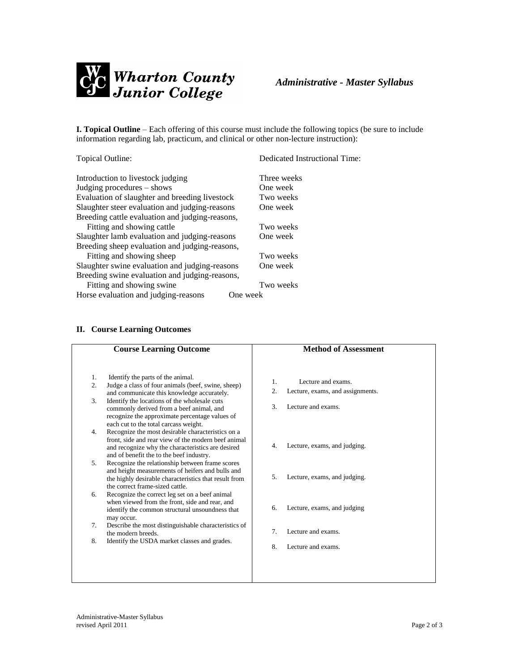

**I. Topical Outline** – Each offering of this course must include the following topics (be sure to include information regarding lab, practicum, and clinical or other non-lecture instruction):

| Topical Outline:                                 | Dedicated Instructional Time: |
|--------------------------------------------------|-------------------------------|
| Introduction to livestock judging                | Three weeks                   |
| Judging procedures – shows                       | One week                      |
| Evaluation of slaughter and breeding livestock   | Two weeks                     |
| Slaughter steer evaluation and judging-reasons   | One week                      |
| Breeding cattle evaluation and judging-reasons,  |                               |
| Fitting and showing cattle                       | Two weeks                     |
| Slaughter lamb evaluation and judging-reasons    | One week                      |
| Breeding sheep evaluation and judging-reasons,   |                               |
| Fitting and showing sheep                        | Two weeks                     |
| Slaughter swine evaluation and judging-reasons   | One week                      |
| Breeding swine evaluation and judging-reasons,   |                               |
| Fitting and showing swine                        | Two weeks                     |
| Horse evaluation and judging-reasons<br>One week |                               |

# **II. Course Learning Outcomes**

|          | <b>Course Learning Outcome</b>                                                                                                                                                                            |                  | <b>Method of Assessment</b>      |
|----------|-----------------------------------------------------------------------------------------------------------------------------------------------------------------------------------------------------------|------------------|----------------------------------|
| 1.<br>2. | Identify the parts of the animal.<br>Judge a class of four animals (beef, swine, sheep)                                                                                                                   | $\mathbf{1}$ .   | Lecture and exams                |
|          | and communicate this knowledge accurately.                                                                                                                                                                | $\overline{2}$ . | Lecture, exams, and assignments. |
| 3.       | Identify the locations of the wholesale cuts<br>commonly derived from a beef animal, and<br>recognize the approximate percentage values of<br>each cut to the total carcass weight.                       | 3.               | Lecture and exams.               |
| 4.       | Recognize the most desirable characteristics on a<br>front, side and rear view of the modern beef animal<br>and recognize why the characteristics are desired<br>and of benefit the to the beef industry. | 4.               | Lecture, exams, and judging.     |
| 5.       | Recognize the relationship between frame scores<br>and height measurements of heifers and bulls and<br>the highly desirable characteristics that result from<br>the correct frame-sized cattle.           | 5.               | Lecture, exams, and judging.     |
| 6.       | Recognize the correct leg set on a beef animal<br>when viewed from the front, side and rear, and<br>identify the common structural unsoundness that<br>may occur.                                         | 6.               | Lecture, exams, and judging      |
| 7.       | Describe the most distinguishable characteristics of<br>the modern breeds.                                                                                                                                | 7.               | Lecture and exams.               |
| 8.       | Identify the USDA market classes and grades.                                                                                                                                                              | 8.               | Lecture and exams.               |
|          |                                                                                                                                                                                                           |                  |                                  |